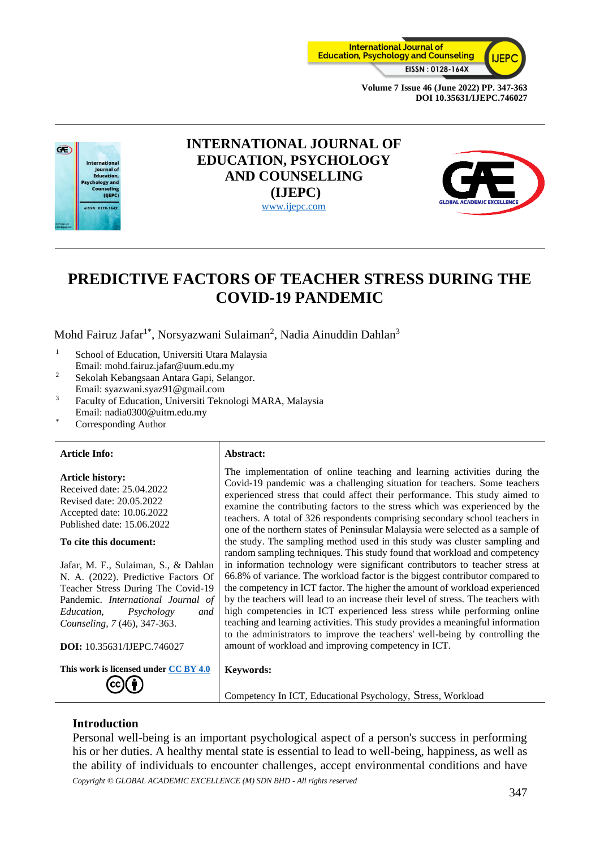



# **INTERNATIONAL JOURNAL OF EDUCATION, PSYCHOLOGY AND COUNSELLING (IJEPC)** [www.ijepc.com](http://www.ijepc.com/)



# **PREDICTIVE FACTORS OF TEACHER STRESS DURING THE COVID-19 PANDEMIC**

Mohd Fairuz Jafar<sup>1\*</sup>, Norsyazwani Sulaiman<sup>2</sup>, Nadia Ainuddin Dahlan<sup>3</sup>

- <sup>1</sup> School of Education, Universiti Utara Malaysia Email: mohd.fairuz.jafar@uum.edu.my
- <sup>2</sup> Sekolah Kebangsaan Antara Gapi, Selangor. Email: syazwani.syaz91@gmail.com
- <sup>3</sup> Faculty of Education, Universiti Teknologi MARA, Malaysia
- Email: nadia0300@uitm.edu.my Corresponding Author
- 

# **Article Info: Abstract:**

#### **Article history:**

Received date: 25.04.2022 Revised date: 20.05.2022 Accepted date: 10.06.2022 Published date: 15.06.2022

#### **To cite this document:**

Jafar, M. F., Sulaiman, S., & Dahlan N. A. (2022). Predictive Factors Of Teacher Stress During The Covid-19 Pandemic. *International Journal of Education, Psychology and Counseling, 7* (46), 347-363.

**DOI:** 10.35631/IJEPC.746027

**This work is licensed under [CC BY 4.0](https://creativecommons.org/licenses/by/4.0/?ref=chooser-v1)**

The implementation of online teaching and learning activities during the Covid-19 pandemic was a challenging situation for teachers. Some teachers experienced stress that could affect their performance. This study aimed to examine the contributing factors to the stress which was experienced by the teachers. A total of 326 respondents comprising secondary school teachers in one of the northern states of Peninsular Malaysia were selected as a sample of the study. The sampling method used in this study was cluster sampling and random sampling techniques. This study found that workload and competency in information technology were significant contributors to teacher stress at 66.8% of variance. The workload factor is the biggest contributor compared to the competency in ICT factor. The higher the amount of workload experienced by the teachers will lead to an increase their level of stress. The teachers with high competencies in ICT experienced less stress while performing online teaching and learning activities. This study provides a meaningful information to the administrators to improve the teachers' well-being by controlling the amount of workload and improving competency in ICT.

#### **Keywords:**

Competency In ICT, Educational Psychology, Stress, Workload

# **Introduction**

*Copyright © GLOBAL ACADEMIC EXCELLENCE (M) SDN BHD - All rights reserved* Personal well-being is an important psychological aspect of a person's success in performing his or her duties. A healthy mental state is essential to lead to well-being, happiness, as well as the ability of individuals to encounter challenges, accept environmental conditions and have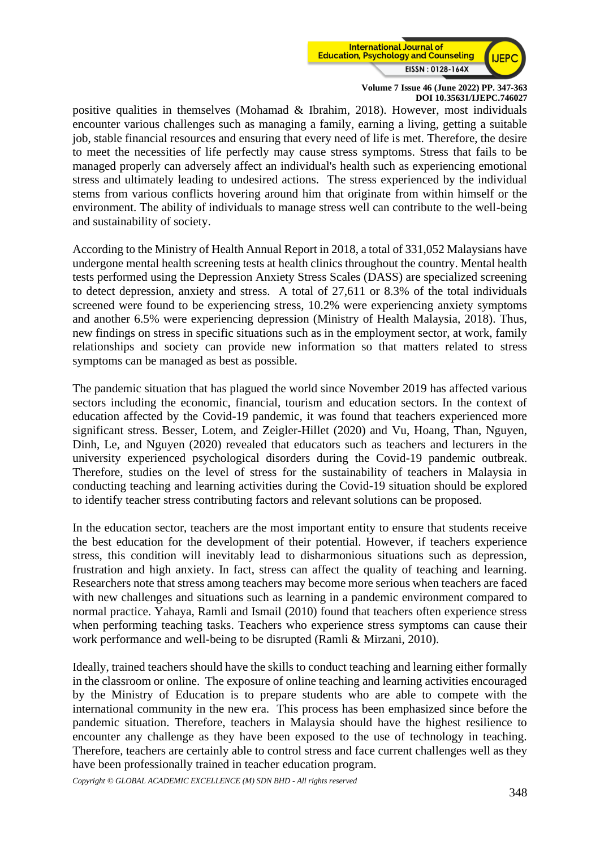

positive qualities in themselves (Mohamad & Ibrahim, 2018). However, most individuals encounter various challenges such as managing a family, earning a living, getting a suitable job, stable financial resources and ensuring that every need of life is met. Therefore, the desire to meet the necessities of life perfectly may cause stress symptoms. Stress that fails to be managed properly can adversely affect an individual's health such as experiencing emotional stress and ultimately leading to undesired actions. The stress experienced by the individual stems from various conflicts hovering around him that originate from within himself or the environment. The ability of individuals to manage stress well can contribute to the well-being and sustainability of society.

According to the Ministry of Health Annual Report in 2018, a total of 331,052 Malaysians have undergone mental health screening tests at health clinics throughout the country. Mental health tests performed using the Depression Anxiety Stress Scales (DASS) are specialized screening to detect depression, anxiety and stress. A total of 27,611 or 8.3% of the total individuals screened were found to be experiencing stress, 10.2% were experiencing anxiety symptoms and another 6.5% were experiencing depression (Ministry of Health Malaysia, 2018). Thus, new findings on stress in specific situations such as in the employment sector, at work, family relationships and society can provide new information so that matters related to stress symptoms can be managed as best as possible.

The pandemic situation that has plagued the world since November 2019 has affected various sectors including the economic, financial, tourism and education sectors. In the context of education affected by the Covid-19 pandemic, it was found that teachers experienced more significant stress. Besser, Lotem, and Zeigler-Hillet (2020) and Vu, Hoang, Than, Nguyen, Dinh, Le, and Nguyen (2020) revealed that educators such as teachers and lecturers in the university experienced psychological disorders during the Covid-19 pandemic outbreak. Therefore, studies on the level of stress for the sustainability of teachers in Malaysia in conducting teaching and learning activities during the Covid-19 situation should be explored to identify teacher stress contributing factors and relevant solutions can be proposed.

In the education sector, teachers are the most important entity to ensure that students receive the best education for the development of their potential. However, if teachers experience stress, this condition will inevitably lead to disharmonious situations such as depression, frustration and high anxiety. In fact, stress can affect the quality of teaching and learning. Researchers note that stress among teachers may become more serious when teachers are faced with new challenges and situations such as learning in a pandemic environment compared to normal practice. Yahaya, Ramli and Ismail (2010) found that teachers often experience stress when performing teaching tasks. Teachers who experience stress symptoms can cause their work performance and well-being to be disrupted (Ramli & Mirzani, 2010).

Ideally, trained teachers should have the skills to conduct teaching and learning either formally in the classroom or online. The exposure of online teaching and learning activities encouraged by the Ministry of Education is to prepare students who are able to compete with the international community in the new era. This process has been emphasized since before the pandemic situation. Therefore, teachers in Malaysia should have the highest resilience to encounter any challenge as they have been exposed to the use of technology in teaching. Therefore, teachers are certainly able to control stress and face current challenges well as they have been professionally trained in teacher education program.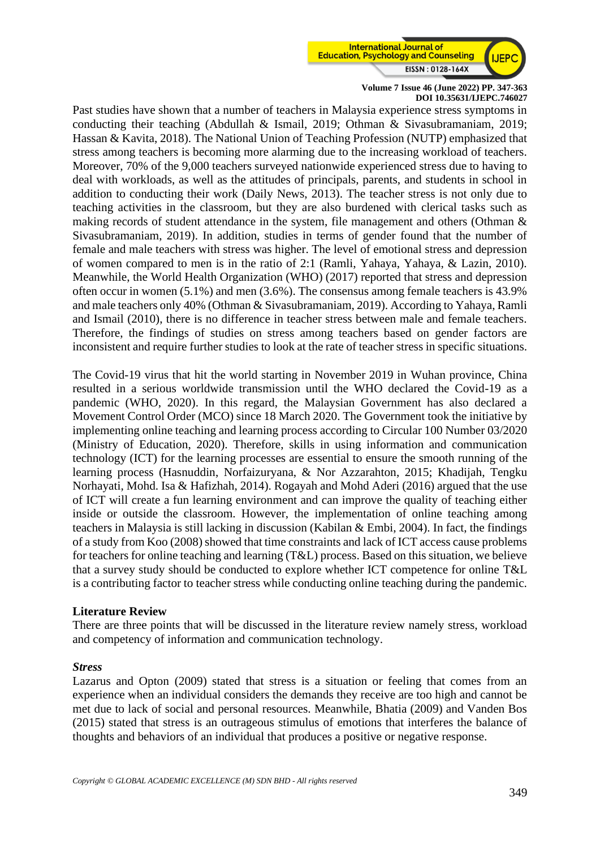

Past studies have shown that a number of teachers in Malaysia experience stress symptoms in conducting their teaching (Abdullah & Ismail, 2019; Othman & Sivasubramaniam, 2019; Hassan & Kavita, 2018). The National Union of Teaching Profession (NUTP) emphasized that stress among teachers is becoming more alarming due to the increasing workload of teachers. Moreover, 70% of the 9,000 teachers surveyed nationwide experienced stress due to having to deal with workloads, as well as the attitudes of principals, parents, and students in school in addition to conducting their work (Daily News, 2013). The teacher stress is not only due to teaching activities in the classroom, but they are also burdened with clerical tasks such as making records of student attendance in the system, file management and others (Othman & Sivasubramaniam, 2019). In addition, studies in terms of gender found that the number of female and male teachers with stress was higher. The level of emotional stress and depression of women compared to men is in the ratio of 2:1 (Ramli, Yahaya, Yahaya, & Lazin, 2010). Meanwhile, the World Health Organization (WHO) (2017) reported that stress and depression often occur in women (5.1%) and men (3.6%). The consensus among female teachers is 43.9% and male teachers only 40% (Othman & Sivasubramaniam, 2019). According to Yahaya, Ramli and Ismail (2010), there is no difference in teacher stress between male and female teachers. Therefore, the findings of studies on stress among teachers based on gender factors are inconsistent and require further studies to look at the rate of teacher stress in specific situations.

The Covid-19 virus that hit the world starting in November 2019 in Wuhan province, China resulted in a serious worldwide transmission until the WHO declared the Covid-19 as a pandemic (WHO, 2020). In this regard, the Malaysian Government has also declared a Movement Control Order (MCO) since 18 March 2020. The Government took the initiative by implementing online teaching and learning process according to Circular 100 Number 03/2020 (Ministry of Education, 2020). Therefore, skills in using information and communication technology (ICT) for the learning processes are essential to ensure the smooth running of the learning process (Hasnuddin, Norfaizuryana, & Nor Azzarahton, 2015; Khadijah, Tengku Norhayati, Mohd. Isa & Hafizhah, 2014). Rogayah and Mohd Aderi (2016) argued that the use of ICT will create a fun learning environment and can improve the quality of teaching either inside or outside the classroom. However, the implementation of online teaching among teachers in Malaysia is still lacking in discussion (Kabilan & Embi, 2004). In fact, the findings of a study from Koo (2008) showed that time constraints and lack of ICT access cause problems for teachers for online teaching and learning (T&L) process. Based on this situation, we believe that a survey study should be conducted to explore whether ICT competence for online T&L is a contributing factor to teacher stress while conducting online teaching during the pandemic.

# **Literature Review**

There are three points that will be discussed in the literature review namely stress, workload and competency of information and communication technology.

#### *Stress*

Lazarus and Opton (2009) stated that stress is a situation or feeling that comes from an experience when an individual considers the demands they receive are too high and cannot be met due to lack of social and personal resources. Meanwhile, Bhatia (2009) and Vanden Bos (2015) stated that stress is an outrageous stimulus of emotions that interferes the balance of thoughts and behaviors of an individual that produces a positive or negative response.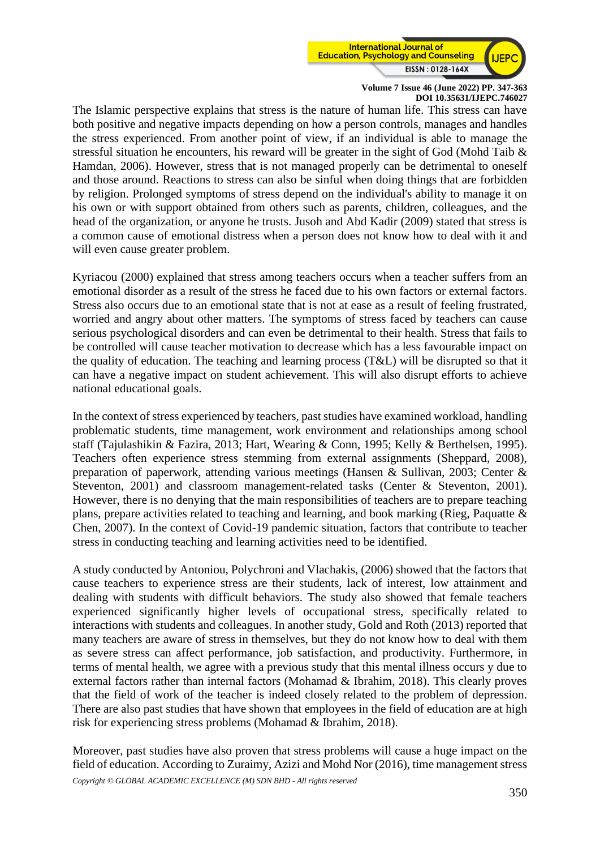

The Islamic perspective explains that stress is the nature of human life. This stress can have both positive and negative impacts depending on how a person controls, manages and handles the stress experienced. From another point of view, if an individual is able to manage the stressful situation he encounters, his reward will be greater in the sight of God (Mohd Taib & Hamdan, 2006). However, stress that is not managed properly can be detrimental to oneself and those around. Reactions to stress can also be sinful when doing things that are forbidden by religion. Prolonged symptoms of stress depend on the individual's ability to manage it on his own or with support obtained from others such as parents, children, colleagues, and the head of the organization, or anyone he trusts. Jusoh and Abd Kadir (2009) stated that stress is a common cause of emotional distress when a person does not know how to deal with it and will even cause greater problem.

Kyriacou (2000) explained that stress among teachers occurs when a teacher suffers from an emotional disorder as a result of the stress he faced due to his own factors or external factors. Stress also occurs due to an emotional state that is not at ease as a result of feeling frustrated, worried and angry about other matters. The symptoms of stress faced by teachers can cause serious psychological disorders and can even be detrimental to their health. Stress that fails to be controlled will cause teacher motivation to decrease which has a less favourable impact on the quality of education. The teaching and learning process (T&L) will be disrupted so that it can have a negative impact on student achievement. This will also disrupt efforts to achieve national educational goals.

In the context of stress experienced by teachers, past studies have examined workload, handling problematic students, time management, work environment and relationships among school staff (Tajulashikin & Fazira, 2013; Hart, Wearing & Conn, 1995; Kelly & Berthelsen, 1995). Teachers often experience stress stemming from external assignments (Sheppard, 2008), preparation of paperwork, attending various meetings (Hansen & Sullivan, 2003; Center & Steventon, 2001) and classroom management-related tasks (Center & Steventon, 2001). However, there is no denying that the main responsibilities of teachers are to prepare teaching plans, prepare activities related to teaching and learning, and book marking (Rieg, Paquatte & Chen, 2007). In the context of Covid-19 pandemic situation, factors that contribute to teacher stress in conducting teaching and learning activities need to be identified.

A study conducted by Antoniou, Polychroni and Vlachakis, (2006) showed that the factors that cause teachers to experience stress are their students, lack of interest, low attainment and dealing with students with difficult behaviors. The study also showed that female teachers experienced significantly higher levels of occupational stress, specifically related to interactions with students and colleagues. In another study, Gold and Roth (2013) reported that many teachers are aware of stress in themselves, but they do not know how to deal with them as severe stress can affect performance, job satisfaction, and productivity. Furthermore, in terms of mental health, we agree with a previous study that this mental illness occurs y due to external factors rather than internal factors (Mohamad & Ibrahim, 2018). This clearly proves that the field of work of the teacher is indeed closely related to the problem of depression. There are also past studies that have shown that employees in the field of education are at high risk for experiencing stress problems (Mohamad & Ibrahim, 2018).

Moreover, past studies have also proven that stress problems will cause a huge impact on the field of education. According to Zuraimy, Azizi and Mohd Nor (2016), time management stress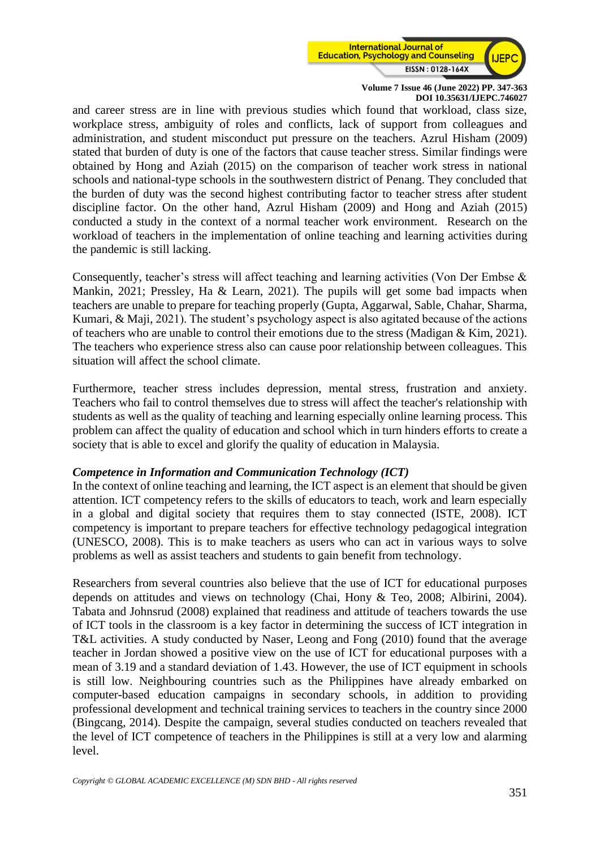

and career stress are in line with previous studies which found that workload, class size, workplace stress, ambiguity of roles and conflicts, lack of support from colleagues and administration, and student misconduct put pressure on the teachers. Azrul Hisham (2009) stated that burden of duty is one of the factors that cause teacher stress. Similar findings were obtained by Hong and Aziah (2015) on the comparison of teacher work stress in national schools and national-type schools in the southwestern district of Penang. They concluded that the burden of duty was the second highest contributing factor to teacher stress after student discipline factor. On the other hand, Azrul Hisham (2009) and Hong and Aziah (2015) conducted a study in the context of a normal teacher work environment. Research on the workload of teachers in the implementation of online teaching and learning activities during the pandemic is still lacking.

Consequently, teacher's stress will affect teaching and learning activities (Von Der Embse & Mankin, 2021; Pressley, Ha & Learn, 2021). The pupils will get some bad impacts when teachers are unable to prepare for teaching properly (Gupta, Aggarwal, Sable, Chahar, Sharma, Kumari, & Maji, 2021). The student's psychology aspect is also agitated because of the actions of teachers who are unable to control their emotions due to the stress (Madigan & Kim, 2021). The teachers who experience stress also can cause poor relationship between colleagues. This situation will affect the school climate.

Furthermore, teacher stress includes depression, mental stress, frustration and anxiety. Teachers who fail to control themselves due to stress will affect the teacher's relationship with students as well as the quality of teaching and learning especially online learning process. This problem can affect the quality of education and school which in turn hinders efforts to create a society that is able to excel and glorify the quality of education in Malaysia.

# *Competence in Information and Communication Technology (ICT)*

In the context of online teaching and learning, the ICT aspect is an element that should be given attention. ICT competency refers to the skills of educators to teach, work and learn especially in a global and digital society that requires them to stay connected (ISTE, 2008). ICT competency is important to prepare teachers for effective technology pedagogical integration (UNESCO, 2008). This is to make teachers as users who can act in various ways to solve problems as well as assist teachers and students to gain benefit from technology.

Researchers from several countries also believe that the use of ICT for educational purposes depends on attitudes and views on technology (Chai, Hony & Teo, 2008; Albirini, 2004). Tabata and Johnsrud (2008) explained that readiness and attitude of teachers towards the use of ICT tools in the classroom is a key factor in determining the success of ICT integration in T&L activities. A study conducted by Naser, Leong and Fong (2010) found that the average teacher in Jordan showed a positive view on the use of ICT for educational purposes with a mean of 3.19 and a standard deviation of 1.43. However, the use of ICT equipment in schools is still low. Neighbouring countries such as the Philippines have already embarked on computer-based education campaigns in secondary schools, in addition to providing professional development and technical training services to teachers in the country since 2000 (Bingcang, 2014). Despite the campaign, several studies conducted on teachers revealed that the level of ICT competence of teachers in the Philippines is still at a very low and alarming level.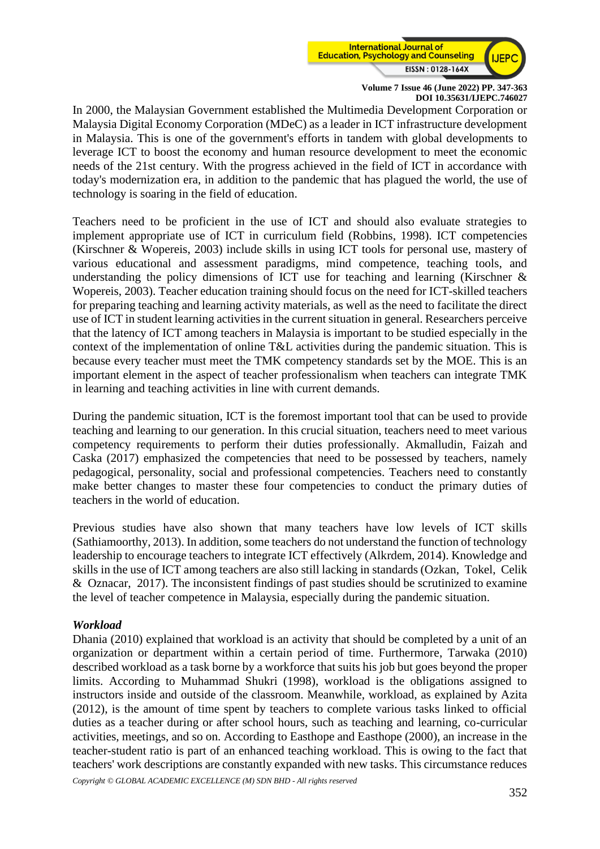

In 2000, the Malaysian Government established the Multimedia Development Corporation or Malaysia Digital Economy Corporation (MDeC) as a leader in ICT infrastructure development in Malaysia. This is one of the government's efforts in tandem with global developments to leverage ICT to boost the economy and human resource development to meet the economic needs of the 21st century. With the progress achieved in the field of ICT in accordance with today's modernization era, in addition to the pandemic that has plagued the world, the use of technology is soaring in the field of education.

Teachers need to be proficient in the use of ICT and should also evaluate strategies to implement appropriate use of ICT in curriculum field (Robbins, 1998). ICT competencies (Kirschner & Wopereis, 2003) include skills in using ICT tools for personal use, mastery of various educational and assessment paradigms, mind competence, teaching tools, and understanding the policy dimensions of ICT use for teaching and learning (Kirschner & Wopereis, 2003). Teacher education training should focus on the need for ICT-skilled teachers for preparing teaching and learning activity materials, as well as the need to facilitate the direct use of ICT in student learning activities in the current situation in general. Researchers perceive that the latency of ICT among teachers in Malaysia is important to be studied especially in the context of the implementation of online T&L activities during the pandemic situation. This is because every teacher must meet the TMK competency standards set by the MOE. This is an important element in the aspect of teacher professionalism when teachers can integrate TMK in learning and teaching activities in line with current demands.

During the pandemic situation, ICT is the foremost important tool that can be used to provide teaching and learning to our generation. In this crucial situation, teachers need to meet various competency requirements to perform their duties professionally. Akmalludin, Faizah and Caska (2017) emphasized the competencies that need to be possessed by teachers, namely pedagogical, personality, social and professional competencies. Teachers need to constantly make better changes to master these four competencies to conduct the primary duties of teachers in the world of education.

Previous studies have also shown that many teachers have low levels of ICT skills (Sathiamoorthy, 2013). In addition, some teachers do not understand the function of technology leadership to encourage teachers to integrate ICT effectively (Alkrdem, 2014). Knowledge and skills in the use of ICT among teachers are also still lacking in standards (Ozkan, Tokel, Celik & Oznacar, 2017). The inconsistent findings of past studies should be scrutinized to examine the level of teacher competence in Malaysia, especially during the pandemic situation.

# *Workload*

Dhania (2010) explained that workload is an activity that should be completed by a unit of an organization or department within a certain period of time. Furthermore, Tarwaka (2010) described workload as a task borne by a workforce that suits his job but goes beyond the proper limits. According to Muhammad Shukri (1998), workload is the obligations assigned to instructors inside and outside of the classroom. Meanwhile, workload, as explained by Azita (2012), is the amount of time spent by teachers to complete various tasks linked to official duties as a teacher during or after school hours, such as teaching and learning, co-curricular activities, meetings, and so on. According to Easthope and Easthope (2000), an increase in the teacher-student ratio is part of an enhanced teaching workload. This is owing to the fact that teachers' work descriptions are constantly expanded with new tasks. This circumstance reduces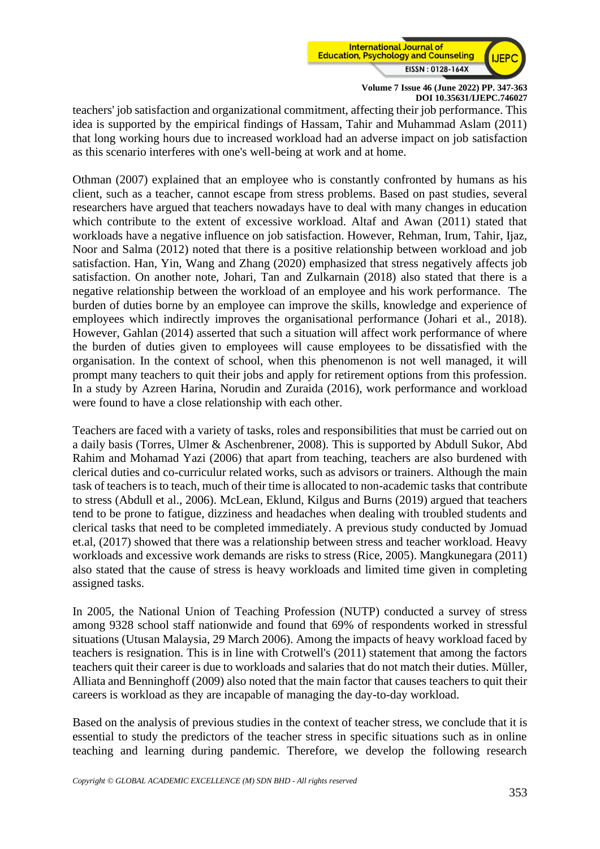

teachers' job satisfaction and organizational commitment, affecting their job performance. This idea is supported by the empirical findings of Hassam, Tahir and Muhammad Aslam (2011) that long working hours due to increased workload had an adverse impact on job satisfaction as this scenario interferes with one's well-being at work and at home.

Othman (2007) explained that an employee who is constantly confronted by humans as his client, such as a teacher, cannot escape from stress problems. Based on past studies, several researchers have argued that teachers nowadays have to deal with many changes in education which contribute to the extent of excessive workload. Altaf and Awan (2011) stated that workloads have a negative influence on job satisfaction. However, Rehman, Irum, Tahir, Ijaz, Noor and Salma (2012) noted that there is a positive relationship between workload and job satisfaction. Han, Yin, Wang and Zhang (2020) emphasized that stress negatively affects job satisfaction. On another note, Johari, Tan and Zulkarnain (2018) also stated that there is a negative relationship between the workload of an employee and his work performance. The burden of duties borne by an employee can improve the skills, knowledge and experience of employees which indirectly improves the organisational performance (Johari et al., 2018). However, Gahlan (2014) asserted that such a situation will affect work performance of where the burden of duties given to employees will cause employees to be dissatisfied with the organisation. In the context of school, when this phenomenon is not well managed, it will prompt many teachers to quit their jobs and apply for retirement options from this profession. In a study by Azreen Harina, Norudin and Zuraida (2016), work performance and workload were found to have a close relationship with each other.

Teachers are faced with a variety of tasks, roles and responsibilities that must be carried out on a daily basis (Torres, Ulmer & Aschenbrener, 2008). This is supported by Abdull Sukor, Abd Rahim and Mohamad Yazi (2006) that apart from teaching, teachers are also burdened with clerical duties and co-curriculur related works, such as advisors or trainers. Although the main task of teachers is to teach, much of their time is allocated to non-academic tasks that contribute to stress (Abdull et al., 2006). McLean, Eklund, Kilgus and Burns (2019) argued that teachers tend to be prone to fatigue, dizziness and headaches when dealing with troubled students and clerical tasks that need to be completed immediately. A previous study conducted by Jomuad et.al, (2017) showed that there was a relationship between stress and teacher workload. Heavy workloads and excessive work demands are risks to stress (Rice, 2005). Mangkunegara (2011) also stated that the cause of stress is heavy workloads and limited time given in completing assigned tasks.

In 2005, the National Union of Teaching Profession (NUTP) conducted a survey of stress among 9328 school staff nationwide and found that 69% of respondents worked in stressful situations (Utusan Malaysia, 29 March 2006). Among the impacts of heavy workload faced by teachers is resignation. This is in line with Crotwell's (2011) statement that among the factors teachers quit their career is due to workloads and salaries that do not match their duties. Müller, Alliata and Benninghoff (2009) also noted that the main factor that causes teachers to quit their careers is workload as they are incapable of managing the day-to-day workload.

Based on the analysis of previous studies in the context of teacher stress, we conclude that it is essential to study the predictors of the teacher stress in specific situations such as in online teaching and learning during pandemic. Therefore, we develop the following research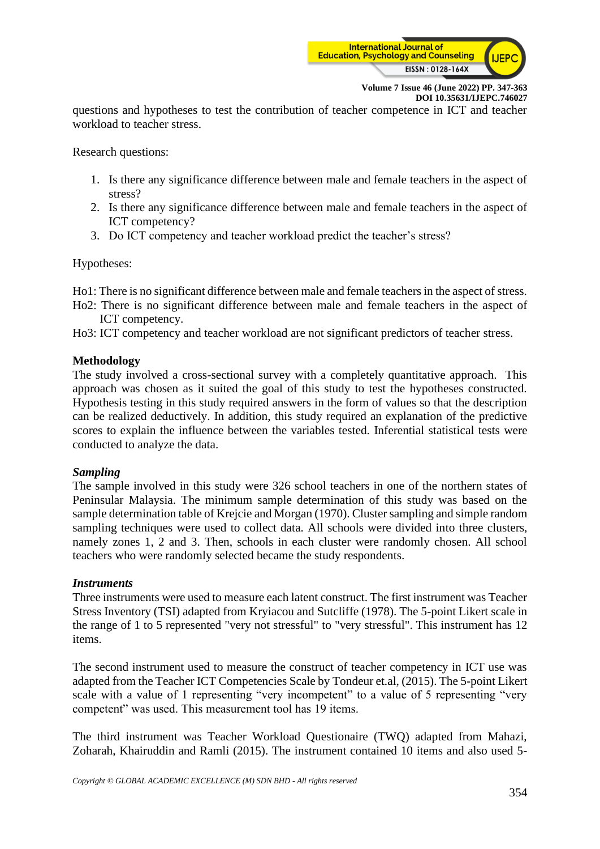

questions and hypotheses to test the contribution of teacher competence in ICT and teacher workload to teacher stress.

Research questions:

- 1. Is there any significance difference between male and female teachers in the aspect of stress?
- 2. Is there any significance difference between male and female teachers in the aspect of ICT competency?
- 3. Do ICT competency and teacher workload predict the teacher's stress?

Hypotheses:

Ho1: There is no significant difference between male and female teachers in the aspect of stress.

- Ho2: There is no significant difference between male and female teachers in the aspect of ICT competency.
- Ho3: ICT competency and teacher workload are not significant predictors of teacher stress.

# **Methodology**

The study involved a cross-sectional survey with a completely quantitative approach. This approach was chosen as it suited the goal of this study to test the hypotheses constructed. Hypothesis testing in this study required answers in the form of values so that the description can be realized deductively. In addition, this study required an explanation of the predictive scores to explain the influence between the variables tested. Inferential statistical tests were conducted to analyze the data.

# *Sampling*

The sample involved in this study were 326 school teachers in one of the northern states of Peninsular Malaysia. The minimum sample determination of this study was based on the sample determination table of Krejcie and Morgan (1970). Cluster sampling and simple random sampling techniques were used to collect data. All schools were divided into three clusters, namely zones 1, 2 and 3. Then, schools in each cluster were randomly chosen. All school teachers who were randomly selected became the study respondents.

# *Instruments*

Three instruments were used to measure each latent construct. The first instrument was Teacher Stress Inventory (TSI) adapted from Kryiacou and Sutcliffe (1978). The 5-point Likert scale in the range of 1 to 5 represented "very not stressful" to "very stressful". This instrument has 12 items.

The second instrument used to measure the construct of teacher competency in ICT use was adapted from the Teacher ICT Competencies Scale by Tondeur et.al, (2015). The 5-point Likert scale with a value of 1 representing "very incompetent" to a value of 5 representing "very competent" was used. This measurement tool has 19 items.

The third instrument was Teacher Workload Questionaire (TWQ) adapted from Mahazi, Zoharah, Khairuddin and Ramli (2015). The instrument contained 10 items and also used 5-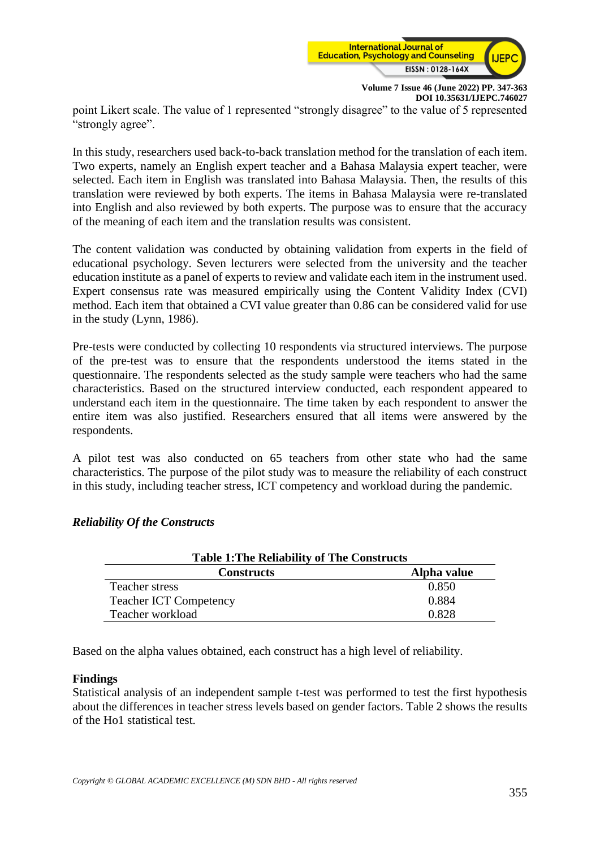

**Volume 7 Issue 46 (June 2022) PP. 347-363 DOI 10.35631/IJEPC.746027** point Likert scale. The value of 1 represented "strongly disagree" to the value of 5 represented "strongly agree".

In this study, researchers used back-to-back translation method for the translation of each item. Two experts, namely an English expert teacher and a Bahasa Malaysia expert teacher, were selected. Each item in English was translated into Bahasa Malaysia. Then, the results of this translation were reviewed by both experts. The items in Bahasa Malaysia were re-translated into English and also reviewed by both experts. The purpose was to ensure that the accuracy of the meaning of each item and the translation results was consistent.

The content validation was conducted by obtaining validation from experts in the field of educational psychology. Seven lecturers were selected from the university and the teacher education institute as a panel of experts to review and validate each item in the instrument used. Expert consensus rate was measured empirically using the Content Validity Index (CVI) method. Each item that obtained a CVI value greater than 0.86 can be considered valid for use in the study (Lynn, 1986).

Pre-tests were conducted by collecting 10 respondents via structured interviews. The purpose of the pre-test was to ensure that the respondents understood the items stated in the questionnaire. The respondents selected as the study sample were teachers who had the same characteristics. Based on the structured interview conducted, each respondent appeared to understand each item in the questionnaire. The time taken by each respondent to answer the entire item was also justified. Researchers ensured that all items were answered by the respondents.

A pilot test was also conducted on 65 teachers from other state who had the same characteristics. The purpose of the pilot study was to measure the reliability of each construct in this study, including teacher stress, ICT competency and workload during the pandemic.

| <b>Table 1: The Reliability of The Constructs</b> |             |  |  |  |  |
|---------------------------------------------------|-------------|--|--|--|--|
| <b>Constructs</b>                                 | Alpha value |  |  |  |  |
| Teacher stress                                    | 0.850       |  |  |  |  |
| <b>Teacher ICT Competency</b>                     | 0.884       |  |  |  |  |
| Teacher workload                                  | 0.828       |  |  |  |  |

# *Reliability Of the Constructs*

Based on the alpha values obtained, each construct has a high level of reliability.

# **Findings**

Statistical analysis of an independent sample t-test was performed to test the first hypothesis about the differences in teacher stress levels based on gender factors. Table 2 shows the results of the Ho1 statistical test.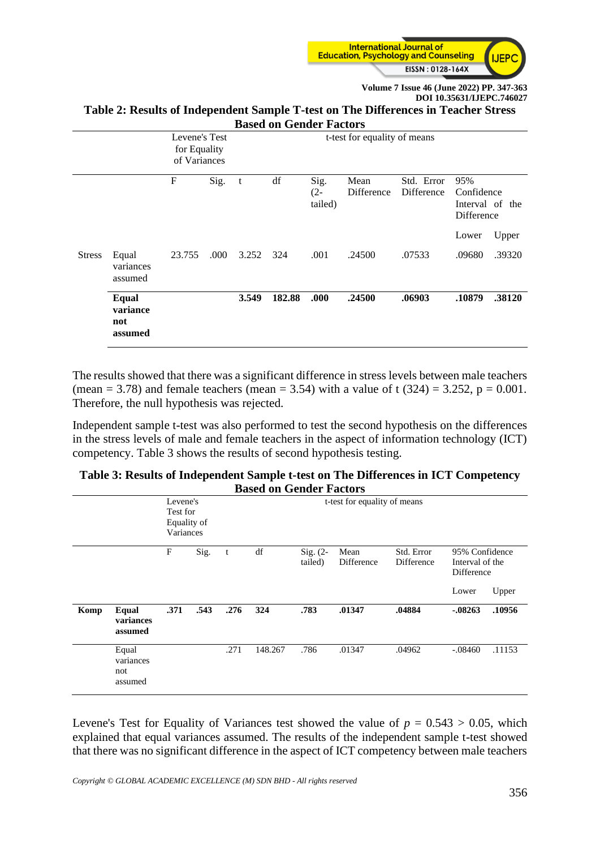

#### **Table 2: Results of Independent Sample T-test on The Differences in Teacher Stress Based on Gender Factors**

|               | Dasca on Genaer Factors             |                                               |      |           |        |                           |                              |                          |                                 |                 |  |
|---------------|-------------------------------------|-----------------------------------------------|------|-----------|--------|---------------------------|------------------------------|--------------------------|---------------------------------|-----------------|--|
|               |                                     | Levene's Test<br>for Equality<br>of Variances |      |           |        |                           | t-test for equality of means |                          |                                 |                 |  |
|               |                                     | F                                             | Sig. | t         | df     | Sig.<br>$(2 -$<br>tailed) | Mean<br>Difference           | Std. Error<br>Difference | 95%<br>Confidence<br>Difference | Interval of the |  |
| <b>Stress</b> | Equal                               | 23.755                                        | .000 | 3.252 324 |        | .001                      | .24500                       | .07533                   | Lower<br>.09680                 | Upper<br>.39320 |  |
|               | variances<br>assumed                |                                               |      |           |        |                           |                              |                          |                                 |                 |  |
|               | Equal<br>variance<br>not<br>assumed |                                               |      | 3.549     | 182.88 | .000                      | .24500                       | .06903                   | .10879                          | .38120          |  |

The results showed that there was a significant difference in stress levels between male teachers (mean = 3.78) and female teachers (mean = 3.54) with a value of t  $(324) = 3.252$ ,  $p = 0.001$ . Therefore, the null hypothesis was rejected.

Independent sample t-test was also performed to test the second hypothesis on the differences in the stress levels of male and female teachers in the aspect of information technology (ICT) competency. Table 3 shows the results of second hypothesis testing.

| Table 3: Results of Independent Sample t-test on The Differences in ICT Competency |
|------------------------------------------------------------------------------------|
| <b>Based on Gender Factors</b>                                                     |

|      |                                      | Levene's<br>Test for<br>Equality of<br>Variances |      |      |         |                       |                    |                          |                                                          |        |
|------|--------------------------------------|--------------------------------------------------|------|------|---------|-----------------------|--------------------|--------------------------|----------------------------------------------------------|--------|
|      |                                      | F                                                | Sig. | t    | df      | $Sig. (2-$<br>tailed) | Mean<br>Difference | Std. Error<br>Difference | 95% Confidence<br>Interval of the<br>Difference<br>Lower | Upper  |
| Komp | Equal<br>variances<br>assumed        | .371                                             | .543 | .276 | 324     | .783                  | .01347             | .04884                   | $-0.08263$                                               | .10956 |
|      | Equal<br>variances<br>not<br>assumed |                                                  |      | .271 | 148.267 | .786                  | .01347             | .04962                   | $-.08460$                                                | .11153 |

Levene's Test for Equality of Variances test showed the value of  $p = 0.543 > 0.05$ , which explained that equal variances assumed. The results of the independent sample t-test showed that there was no significant difference in the aspect of ICT competency between male teachers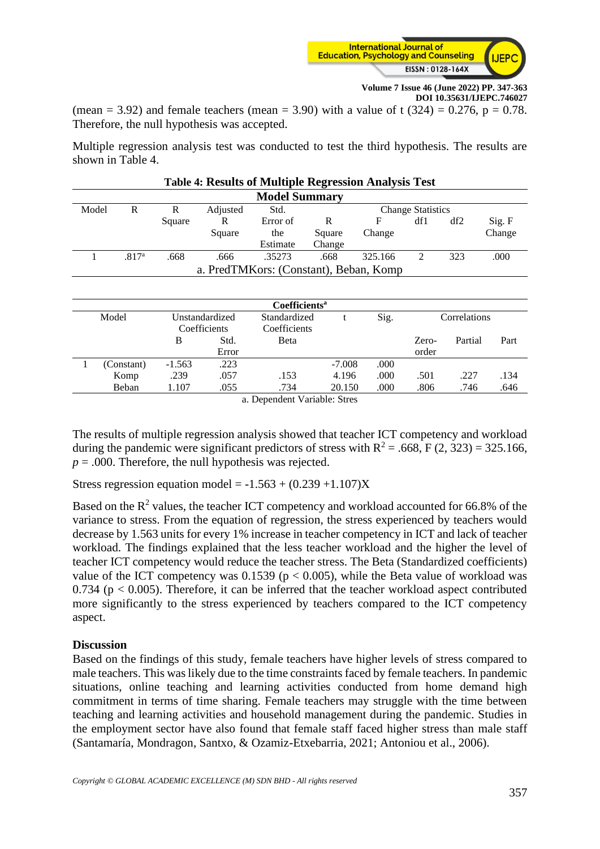

(mean = 3.92) and female teachers (mean = 3.90) with a value of t  $(324) = 0.276$ , p = 0.78. Therefore, the null hypothesis was accepted.

Multiple regression analysis test was conducted to test the third hypothesis. The results are shown in Table 4.

|                      | <b>Table 4: Results of Multiple Regression Analysis Test</b> |        |        |          |        |         |     |     |        |  |  |
|----------------------|--------------------------------------------------------------|--------|--------|----------|--------|---------|-----|-----|--------|--|--|
| <b>Model Summary</b> |                                                              |        |        |          |        |         |     |     |        |  |  |
| Model                | R<br>R<br>Adjusted<br>Std.<br><b>Change Statistics</b>       |        |        |          |        |         |     |     |        |  |  |
|                      |                                                              | Square | R      | Error of | R      | F       | df1 | df2 | Sig. F |  |  |
|                      |                                                              |        | Square | the      | Square | Change  |     |     | Change |  |  |
|                      |                                                              |        |        | Estimate | Change |         |     |     |        |  |  |
|                      | .817 <sup>a</sup>                                            | .668   | .666   | .35273   | .668   | 325.166 | 2   | 323 | .000   |  |  |
|                      | a. PredTMKors: (Constant), Beban, Komp                       |        |        |          |        |         |     |     |        |  |  |
|                      |                                                              |        |        |          |        |         |     |     |        |  |  |
|                      |                                                              |        |        |          |        |         |     |     |        |  |  |
|                      | Coefficients <sup>a</sup>                                    |        |        |          |        |         |     |     |        |  |  |

|       | Coefficients <sup>a</sup> |                |       |              |          |      |              |         |      |  |  |
|-------|---------------------------|----------------|-------|--------------|----------|------|--------------|---------|------|--|--|
| Model |                           | Unstandardized |       | Standardized |          | Sig. | Correlations |         |      |  |  |
|       |                           | Coefficients   |       | Coefficients |          |      |              |         |      |  |  |
|       |                           | B              | Std.  | <b>B</b> eta |          |      | Zero-        | Partial | Part |  |  |
|       |                           |                | Error |              |          |      | order        |         |      |  |  |
|       | (Constant)                | $-1.563$       | .223  |              | $-7.008$ | .000 |              |         |      |  |  |
|       | Komp                      | .239           | .057  | .153         | 4.196    | .000 | .501         | .227    | .134 |  |  |
|       | Beban                     | 1.107          | .055  | .734         | 20.150   | .000 | .806         | .746    | .646 |  |  |
|       |                           |                |       |              |          |      |              |         |      |  |  |

a. Dependent Variable: Stres

The results of multiple regression analysis showed that teacher ICT competency and workload during the pandemic were significant predictors of stress with  $R^2 = .668$ , F (2, 323) = 325.166,  $p = .000$ . Therefore, the null hypothesis was rejected.

Stress regression equation model =  $-1.563 + (0.239 +1.107)X$ 

Based on the  $R^2$  values, the teacher ICT competency and workload accounted for 66.8% of the variance to stress. From the equation of regression, the stress experienced by teachers would decrease by 1.563 units for every 1% increase in teacher competency in ICT and lack of teacher workload. The findings explained that the less teacher workload and the higher the level of teacher ICT competency would reduce the teacher stress. The Beta (Standardized coefficients) value of the ICT competency was  $0.1539$  ( $p < 0.005$ ), while the Beta value of workload was 0.734 ( $p < 0.005$ ). Therefore, it can be inferred that the teacher workload aspect contributed more significantly to the stress experienced by teachers compared to the ICT competency aspect.

# **Discussion**

Based on the findings of this study, female teachers have higher levels of stress compared to male teachers. This was likely due to the time constraints faced by female teachers. In pandemic situations, online teaching and learning activities conducted from home demand high commitment in terms of time sharing. Female teachers may struggle with the time between teaching and learning activities and household management during the pandemic. Studies in the employment sector have also found that female staff faced higher stress than male staff (Santamaría, Mondragon, Santxo, & Ozamiz-Etxebarria, 2021; Antoniou et al., 2006).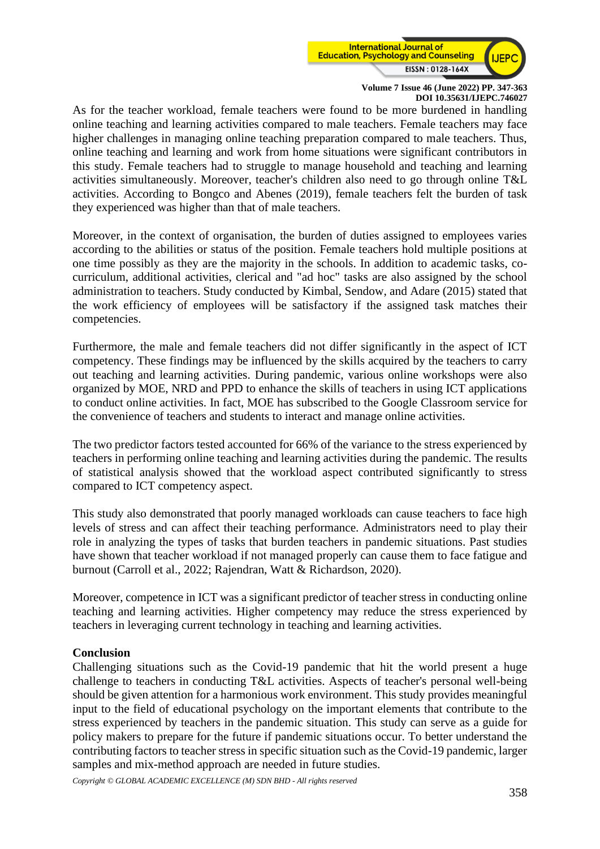

As for the teacher workload, female teachers were found to be more burdened in handling online teaching and learning activities compared to male teachers. Female teachers may face higher challenges in managing online teaching preparation compared to male teachers. Thus, online teaching and learning and work from home situations were significant contributors in this study. Female teachers had to struggle to manage household and teaching and learning activities simultaneously. Moreover, teacher's children also need to go through online T&L activities. According to Bongco and Abenes (2019), female teachers felt the burden of task they experienced was higher than that of male teachers.

Moreover, in the context of organisation, the burden of duties assigned to employees varies according to the abilities or status of the position. Female teachers hold multiple positions at one time possibly as they are the majority in the schools. In addition to academic tasks, cocurriculum, additional activities, clerical and "ad hoc" tasks are also assigned by the school administration to teachers. Study conducted by Kimbal, Sendow, and Adare (2015) stated that the work efficiency of employees will be satisfactory if the assigned task matches their competencies.

Furthermore, the male and female teachers did not differ significantly in the aspect of ICT competency. These findings may be influenced by the skills acquired by the teachers to carry out teaching and learning activities. During pandemic, various online workshops were also organized by MOE, NRD and PPD to enhance the skills of teachers in using ICT applications to conduct online activities. In fact, MOE has subscribed to the Google Classroom service for the convenience of teachers and students to interact and manage online activities.

The two predictor factors tested accounted for 66% of the variance to the stress experienced by teachers in performing online teaching and learning activities during the pandemic. The results of statistical analysis showed that the workload aspect contributed significantly to stress compared to ICT competency aspect.

This study also demonstrated that poorly managed workloads can cause teachers to face high levels of stress and can affect their teaching performance. Administrators need to play their role in analyzing the types of tasks that burden teachers in pandemic situations. Past studies have shown that teacher workload if not managed properly can cause them to face fatigue and burnout (Carroll et al., 2022; Rajendran, Watt & Richardson, 2020).

Moreover, competence in ICT was a significant predictor of teacher stress in conducting online teaching and learning activities. Higher competency may reduce the stress experienced by teachers in leveraging current technology in teaching and learning activities.

# **Conclusion**

Challenging situations such as the Covid-19 pandemic that hit the world present a huge challenge to teachers in conducting T&L activities. Aspects of teacher's personal well-being should be given attention for a harmonious work environment. This study provides meaningful input to the field of educational psychology on the important elements that contribute to the stress experienced by teachers in the pandemic situation. This study can serve as a guide for policy makers to prepare for the future if pandemic situations occur. To better understand the contributing factors to teacher stress in specific situation such as the Covid-19 pandemic, larger samples and mix-method approach are needed in future studies.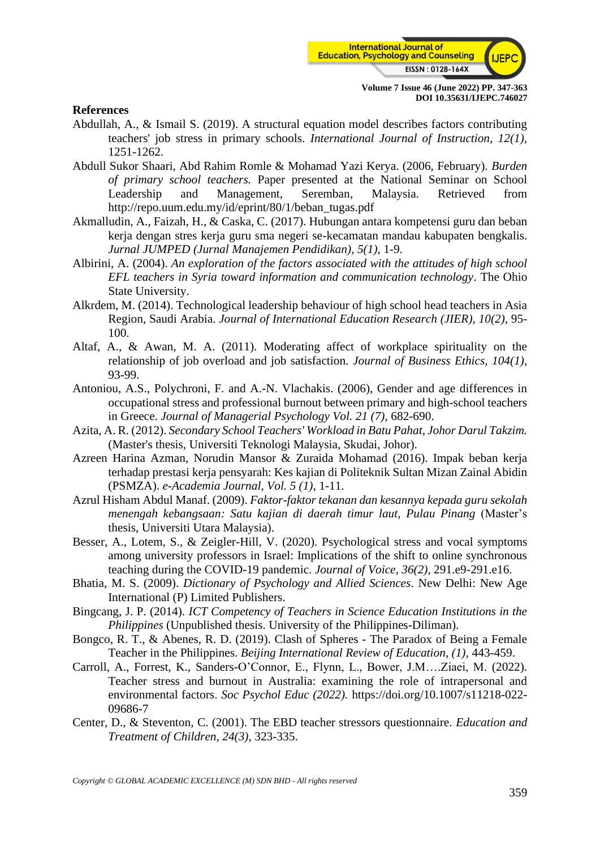

#### **References**

- Abdullah, A., & Ismail S. (2019). A structural equation model describes factors contributing teachers' job stress in primary schools. *International Journal of Instruction, 12(1)*, 1251-1262.
- Abdull Sukor Shaari, Abd Rahim Romle & Mohamad Yazi Kerya. (2006, February). *Burden of primary school teachers.* Paper presented at the National Seminar on School Leadership and Management, Seremban, Malaysia. Retrieved from http://repo.uum.edu.my/id/eprint/80/1/beban\_tugas.pdf
- Akmalludin, A., Faizah, H., & Caska, C. (2017). Hubungan antara kompetensi guru dan beban kerja dengan stres kerja guru sma negeri se-kecamatan mandau kabupaten bengkalis. *Jurnal JUMPED (Jurnal Manajemen Pendidikan), 5(1),* 1-9.
- Albirini, A. (2004). *An exploration of the factors associated with the attitudes of high school EFL teachers in Syria toward information and communication technology*. The Ohio State University.
- Alkrdem, M. (2014). Technological leadership behaviour of high school head teachers in Asia Region, Saudi Arabia. *Journal of International Education Research (JIER), 10(2),* 95- 100.
- Altaf, A., & Awan, M. A. (2011). Moderating affect of workplace spirituality on the relationship of job overload and job satisfaction*. Journal of Business Ethics, 104(1),* 93-99.
- Antoniou, A.S., Polychroni, F. and A.-N. Vlachakis. (2006), Gender and age differences in occupational stress and professional burnout between primary and high-school teachers in Greece. *Journal of Managerial Psychology Vol. 21 (7),* 682-690.
- Azita, A. R. (2012). *Secondary School Teachers' Workload in Batu Pahat, Johor Darul Takzim.* (Master's thesis, Universiti Teknologi Malaysia, Skudai, Johor).
- Azreen Harina Azman, Norudin Mansor & Zuraida Mohamad (2016). Impak beban kerja terhadap prestasi kerja pensyarah: Kes kajian di Politeknik Sultan Mizan Zainal Abidin (PSMZA). *e-Academia Journal, Vol. 5 (1)*, 1-11.
- Azrul Hisham Abdul Manaf. (2009). *Faktor-faktor tekanan dan kesannya kepada guru sekolah menengah kebangsaan: Satu kajian di daerah timur laut, Pulau Pinang* (Master's thesis, Universiti Utara Malaysia).
- Besser, A., Lotem, S., & Zeigler-Hill, V. (2020). Psychological stress and vocal symptoms among university professors in Israel: Implications of the shift to online synchronous teaching during the COVID-19 pandemic. *Journal of Voice, 36(2),* 291.e9-291.e16.
- Bhatia, M. S. (2009). *Dictionary of Psychology and Allied Sciences*. New Delhi: New Age International (P) Limited Publishers.
- Bingcang, J. P. (2014). *ICT Competency of Teachers in Science Education Institutions in the Philippines* (Unpublished thesis. University of the Philippines-Diliman).
- Bongco, R. T., & Abenes, R. D. (2019). Clash of Spheres The Paradox of Being a Female Teacher in the Philippines. *Beijing International Review of Education, (1),* 443-459.
- Carroll, A., Forrest, K., Sanders-O'Connor, E., Flynn, L., Bower, J.M….Ziaei, M. (2022). Teacher stress and burnout in Australia: examining the role of intrapersonal and environmental factors. *Soc Psychol Educ (2022).* https://doi.org/10.1007/s11218-022- 09686-7
- Center, D., & Steventon, C. (2001). The EBD teacher stressors questionnaire. *Education and Treatment of Children, 24(3)*, 323-335.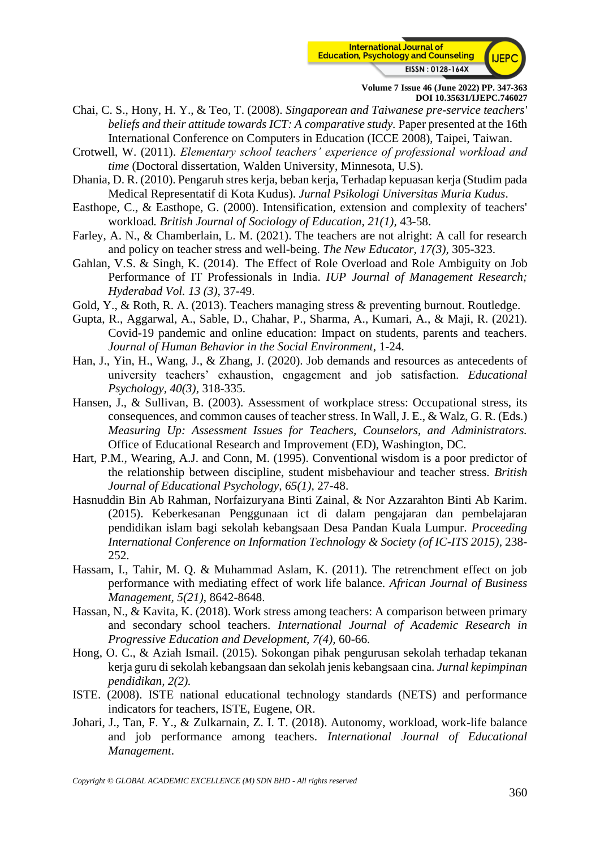

- Chai, C. S., Hony, H. Y., & Teo, T. (2008). *Singaporean and Taiwanese pre-service teachers' beliefs and their attitude towards ICT: A comparative study.* Paper presented at the 16th International Conference on Computers in Education (ICCE 2008), Taipei, Taiwan.
- Crotwell, W. (2011). *Elementary school teachers' experience of professional workload and time* (Doctoral dissertation, Walden University, Minnesota, U.S).
- Dhania, D. R. (2010). Pengaruh stres kerja, beban kerja, Terhadap kepuasan kerja (Studim pada Medical Representatif di Kota Kudus). *Jurnal Psikologi Universitas Muria Kudus*.
- Easthope, C., & Easthope, G. (2000). Intensification, extension and complexity of teachers' workload*. British Journal of Sociology of Education, 21(1),* 43-58.
- Farley, A. N., & Chamberlain, L. M. (2021). The teachers are not alright: A call for research and policy on teacher stress and well-being. *The New Educator, 17(3),* 305-323.
- Gahlan, V.S. & Singh, K. (2014).  The Effect of Role Overload and Role Ambiguity on Job Performance of IT Professionals in India. *IUP Journal of Management Research; Hyderabad Vol. 13 (3)*, 37-49.
- Gold, Y., & Roth, R. A. (2013). Teachers managing stress & preventing burnout. Routledge.
- Gupta, R., Aggarwal, A., Sable, D., Chahar, P., Sharma, A., Kumari, A., & Maji, R. (2021). Covid-19 pandemic and online education: Impact on students, parents and teachers. *Journal of Human Behavior in the Social Environment*, 1-24.
- Han, J., Yin, H., Wang, J., & Zhang, J. (2020). Job demands and resources as antecedents of university teachers' exhaustion, engagement and job satisfaction. *Educational Psychology, 40(3),* 318-335.
- Hansen, J., & Sullivan, B. (2003). Assessment of workplace stress: Occupational stress, its consequences, and common causes of teacher stress. In Wall, J. E., & Walz, G. R. (Eds.) *Measuring Up: Assessment Issues for Teachers, Counselors, and Administrators.* Office of Educational Research and Improvement (ED), Washington, DC.
- Hart, P.M., Wearing, A.J. and Conn, M. (1995). Conventional wisdom is a poor predictor of the relationship between discipline, student misbehaviour and teacher stress. *British Journal of Educational Psychology, 65(1),* 27-48.
- Hasnuddin Bin Ab Rahman, Norfaizuryana Binti Zainal, & Nor Azzarahton Binti Ab Karim. (2015). Keberkesanan Penggunaan ict di dalam pengajaran dan pembelajaran pendidikan islam bagi sekolah kebangsaan Desa Pandan Kuala Lumpur. *Proceeding International Conference on Information Technology & Society (of IC-ITS 2015),* 238- 252.
- Hassam, I., Tahir, M. Q. & Muhammad Aslam, K. (2011). The retrenchment effect on job performance with mediating effect of work life balance. *African Journal of Business Management, 5(21)*, 8642-8648.
- Hassan, N., & Kavita, K. (2018). Work stress among teachers: A comparison between primary and secondary school teachers. *International Journal of Academic Research in Progressive Education and Development, 7(4),* 60-66.
- Hong, O. C., & Aziah Ismail. (2015). Sokongan pihak pengurusan sekolah terhadap tekanan kerja guru di sekolah kebangsaan dan sekolah jenis kebangsaan cina. *Jurnal kepimpinan pendidikan, 2(2).*
- ISTE. (2008). ISTE national educational technology standards (NETS) and performance indicators for teachers, ISTE, Eugene, OR.
- Johari, J., Tan, F. Y., & Zulkarnain, Z. I. T. (2018). Autonomy, workload, work-life balance and job performance among teachers. *International Journal of Educational Management*.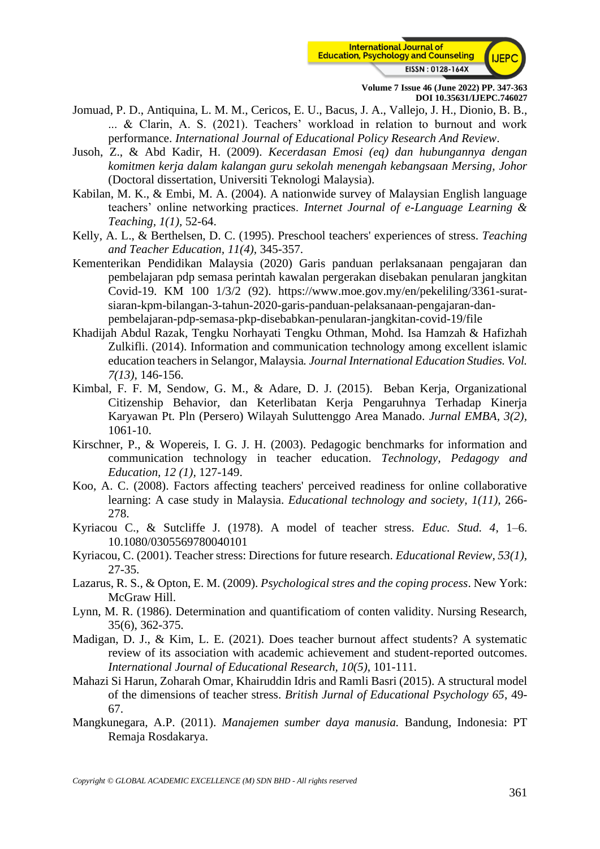

- Jomuad, P. D., Antiquina, L. M. M., Cericos, E. U., Bacus, J. A., Vallejo, J. H., Dionio, B. B., ... & Clarin, A. S. (2021). Teachers' workload in relation to burnout and work performance. *International Journal of Educational Policy Research And Review*.
- Jusoh, Z., & Abd Kadir, H. (2009). *Kecerdasan Emosi (eq) dan hubungannya dengan komitmen kerja dalam kalangan guru sekolah menengah kebangsaan Mersing, Johor* (Doctoral dissertation, Universiti Teknologi Malaysia).
- Kabilan, M. K., & Embi, M. A. (2004). A nationwide survey of Malaysian English language teachers' online networking practices. *Internet Journal of e-Language Learning & Teaching, 1(1),* 52-64.
- Kelly, A. L., & Berthelsen, D. C. (1995). Preschool teachers' experiences of stress. *Teaching and Teacher Education, 11(4),* 345-357.
- Kementerikan Pendidikan Malaysia (2020) Garis panduan perlaksanaan pengajaran dan pembelajaran pdp semasa perintah kawalan pergerakan disebakan penularan jangkitan Covid-19. KM 100 1/3/2 (92). https://www.moe.gov.my/en/pekeliling/3361-suratsiaran-kpm-bilangan-3-tahun-2020-garis-panduan-pelaksanaan-pengajaran-danpembelajaran-pdp-semasa-pkp-disebabkan-penularan-jangkitan-covid-19/file
- Khadijah Abdul Razak, Tengku Norhayati Tengku Othman, Mohd. Isa Hamzah & Hafizhah Zulkifli. (2014). Information and communication technology among excellent islamic education teachers in Selangor, Malaysia*. Journal International Education Studies. Vol. 7(13),* 146-156.
- Kimbal, F. F. M, Sendow, G. M., & Adare, D. J. (2015). Beban Kerja, Organizational Citizenship Behavior, dan Keterlibatan Kerja Pengaruhnya Terhadap Kinerja Karyawan Pt. Pln (Persero) Wilayah Suluttenggo Area Manado. *Jurnal EMBA, 3(2),* 1061-10.
- Kirschner, P., & Wopereis, I. G. J. H. (2003). Pedagogic benchmarks for information and communication technology in teacher education. *Technology, Pedagogy and Education, 12 (1),* 127-149.
- Koo, A. C. (2008). Factors affecting teachers' perceived readiness for online collaborative learning: A case study in Malaysia. *Educational technology and society, 1(11),* 266- 278.
- Kyriacou C., & Sutcliffe J. (1978). A model of teacher stress. *Educ. Stud. 4*, 1–6. 10.1080/0305569780040101
- Kyriacou, C. (2001). Teacher stress: Directions for future research. *Educational Review, 53(1),* 27-35.
- Lazarus, R. S., & Opton, E. M. (2009). *Psychological stres and the coping process*. New York: McGraw Hill.
- Lynn, M. R. (1986). Determination and quantificatiom of conten validity. Nursing Research, 35(6), 362-375.
- Madigan, D. J., & Kim, L. E. (2021). Does teacher burnout affect students? A systematic review of its association with academic achievement and student-reported outcomes. *International Journal of Educational Research, 10(5)*, 101-111.
- Mahazi Si Harun, Zoharah Omar, Khairuddin Idris and Ramli Basri (2015). A structural model of the dimensions of teacher stress. *British Jurnal of Educational Psychology 65*, 49- 67.
- Mangkunegara, A.P. (2011). *Manajemen sumber daya manusia.* Bandung, Indonesia: PT Remaja Rosdakarya.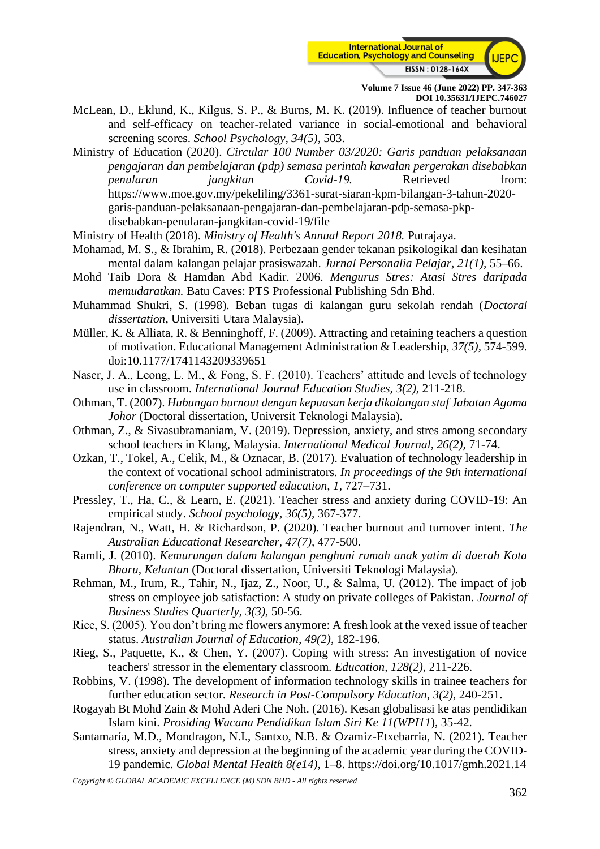

McLean, D., Eklund, K., Kilgus, S. P., & Burns, M. K. (2019). Influence of teacher burnout and self-efficacy on teacher-related variance in social-emotional and behavioral screening scores. *School Psychology, 34(5),* 503.

Ministry of Education (2020). *Circular 100 Number 03/2020: Garis panduan pelaksanaan pengajaran dan pembelajaran (pdp) semasa perintah kawalan pergerakan disebabkan penularan jangkitan Covid-19.* Retrieved from: https://www.moe.gov.my/pekeliling/3361-surat-siaran-kpm-bilangan-3-tahun-2020 garis-panduan-pelaksanaan-pengajaran-dan-pembelajaran-pdp-semasa-pkpdisebabkan-penularan-jangkitan-covid-19/file

Ministry of Health (2018). *Ministry of Health's Annual Report 2018.* Putrajaya.

- Mohamad, M. S., & Ibrahim, R. (2018). Perbezaan gender tekanan psikologikal dan kesihatan mental dalam kalangan pelajar prasiswazah. *Jurnal Personalia Pelajar, 21(1),* 55–66.
- Mohd Taib Dora & Hamdan Abd Kadir. 2006. *Mengurus Stres: Atasi Stres daripada memudaratkan.* Batu Caves: PTS Professional Publishing Sdn Bhd.
- Muhammad Shukri, S. (1998). Beban tugas di kalangan guru sekolah rendah (*Doctoral dissertation*, Universiti Utara Malaysia).
- Müller, K. & Alliata, R. & Benninghoff, F. (2009). Attracting and retaining teachers a question of motivation. Educational Management Administration & Leadership, *37(5),* 574-599. doi:10.1177/1741143209339651
- Naser, J. A., Leong, L. M., & Fong, S. F. (2010). Teachers' attitude and levels of technology use in classroom. *International Journal Education Studies, 3(2),* 211-218.
- Othman, T. (2007). *Hubungan burnout dengan kepuasan kerja dikalangan staf Jabatan Agama Johor* (Doctoral dissertation, Universit Teknologi Malaysia).
- Othman, Z., & Sivasubramaniam, V. (2019). Depression, anxiety, and stres among secondary school teachers in Klang, Malaysia. *International Medical Journal, 26(2),* 71-74.
- Ozkan, T., Tokel, A., Celik, M., & Oznacar, B. (2017). Evaluation of technology leadership in the context of vocational school administrators*. In proceedings of the 9th international conference on computer supported education, 1,* 727–731.
- Pressley, T., Ha, C., & Learn, E. (2021). Teacher stress and anxiety during COVID-19: An empirical study. *School psychology, 36(5),* 367-377.
- Rajendran, N., Watt, H. & Richardson, P. (2020). Teacher burnout and turnover intent. *The Australian Educational Researcher, 47(7),* 477-500.
- Ramli, J. (2010). *Kemurungan dalam kalangan penghuni rumah anak yatim di daerah Kota Bharu, Kelantan* (Doctoral dissertation, Universiti Teknologi Malaysia).
- Rehman, M., Irum, R., Tahir, N., Ijaz, Z., Noor, U., & Salma, U. (2012). The impact of job stress on employee job satisfaction: A study on private colleges of Pakistan. *Journal of Business Studies Quarterly, 3(3),* 50-56.
- Rice, S. (2005). You don't bring me flowers anymore: A fresh look at the vexed issue of teacher status. *Australian Journal of Education, 49(2)*, 182-196.
- Rieg, S., Paquette, K., & Chen, Y. (2007). Coping with stress: An investigation of novice teachers' stressor in the elementary classroom*. Education, 128(2),* 211-226.
- Robbins, V. (1998). The development of information technology skills in trainee teachers for further education sector*. Research in Post-Compulsory Education, 3(2),* 240-251.
- Rogayah Bt Mohd Zain & Mohd Aderi Che Noh. (2016). Kesan globalisasi ke atas pendidikan Islam kini. *Prosiding Wacana Pendidikan Islam Siri Ke 11(WPI11*), 35-42.
- Santamaría, M.D., Mondragon, N.I., Santxo, N.B. & Ozamiz-Etxebarria, N. (2021). Teacher stress, anxiety and depression at the beginning of the academic year during the COVID-19 pandemic. *Global Mental Health 8(e14),* 1–8. https://doi.org/10.1017/gmh.2021.14